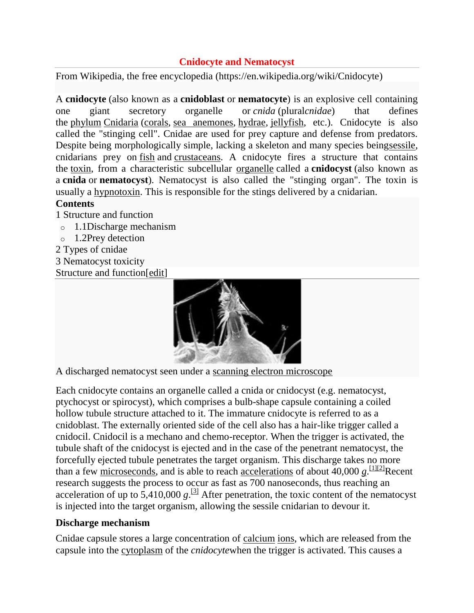# **Cnidocyte and Nematocyst**

From Wikipedia, the free encyclopedia (https://en.wikipedia.org/wiki/Cnidocyte)

A **cnidocyte** (also known as a **cnidoblast** or **nematocyte**) is an explosive cell containing one giant secretory organelle or *cnida* (plural*cnidae*) that defines the [phylum](https://en.wikipedia.org/wiki/Phylum) [Cnidaria](https://en.wikipedia.org/wiki/Cnidaria) [\(corals,](https://en.wikipedia.org/wiki/Coral) [sea anemones,](https://en.wikipedia.org/wiki/Sea_anemone) [hydrae,](https://en.wikipedia.org/wiki/Hydra_(genus)) [jellyfish,](https://en.wikipedia.org/wiki/Jellyfish) etc.). Cnidocyte is also called the "stinging cell". Cnidae are used for prey capture and defense from predators. Despite being morphologically simple, lacking a skeleton and many species bein[gsessile,](https://en.wikipedia.org/wiki/Sessility_(zoology)) cnidarians prey on [fish](https://en.wikipedia.org/wiki/Fish) and [crustaceans.](https://en.wikipedia.org/wiki/Crustacean) A cnidocyte fires a structure that contains the [toxin,](https://en.wikipedia.org/wiki/Toxin) from a characteristic subcellular [organelle](https://en.wikipedia.org/wiki/Organelle) called a **cnidocyst** (also known as a **cnida** or **nematocyst**). Nematocyst is also called the "stinging organ". The toxin is usually a [hypnotoxin.](https://en.wikipedia.org/w/index.php?title=Hypnotoxin&action=edit&redlink=1) This is responsible for the stings delivered by a cnidarian.

# **Contents**

- 1 [Structure and function](https://en.wikipedia.org/wiki/Cnidocyte#Structure_and_function)
- o [1.1Discharge mechanism](https://en.wikipedia.org/wiki/Cnidocyte#Discharge_mechanism)
- o [1.2Prey detection](https://en.wikipedia.org/wiki/Cnidocyte#Prey_detection)
- 2 [Types of cnidae](https://en.wikipedia.org/wiki/Cnidocyte#Types_of_cnidae)
- 3 [Nematocyst toxicity](https://en.wikipedia.org/wiki/Cnidocyte#Nematocyst_toxicity)

Structure and function[\[edit\]](https://en.wikipedia.org/w/index.php?title=Cnidocyte&action=edit§ion=1)



A discharged nematocyst seen under a [scanning electron microscope](https://en.wikipedia.org/wiki/Scanning_electron_microscope)

Each cnidocyte contains an organelle called a cnida or cnidocyst (e.g. nematocyst, ptychocyst or spirocyst), which comprises a bulb-shape capsule containing a coiled hollow tubule structure attached to it. The immature cnidocyte is referred to as a cnidoblast. The externally oriented side of the cell also has a hair-like trigger called a cnidocil. Cnidocil is a mechano and chemo-receptor. When the trigger is activated, the tubule shaft of the cnidocyst is ejected and in the case of the penetrant nematocyst, the forcefully ejected tubule penetrates the target organism. This discharge takes no more than a few [microseconds,](https://en.wikipedia.org/wiki/Microsecond) and is able to reach <u>[accelerations](https://en.wikipedia.org/wiki/Acceleration)</u> of about  $40,000 \text{ g}$  $40,000 \text{ g}$  $40,000 \text{ g}$ . [11<sup>[2]</sup>Recent research suggests the process to occur as fast as 700 nanoseconds, thus reaching an acceleration of up to  $\overline{5,410,000}$   $g$ .<sup>[\[3\]](https://en.wikipedia.org/wiki/Cnidocyte#cite_note-Timm.2B2006-3)</sup> After penetration, the toxic content of the nematocyst is injected into the target organism, allowing the sessile cnidarian to devour it.

# **Discharge mechanism**

Cnidae capsule stores a large concentration of [calcium](https://en.wikipedia.org/wiki/Calcium) [ions,](https://en.wikipedia.org/wiki/Ion) which are released from the capsule into the [cytoplasm](https://en.wikipedia.org/wiki/Cytoplasm) of the *cnidocyte*when the trigger is activated. This causes a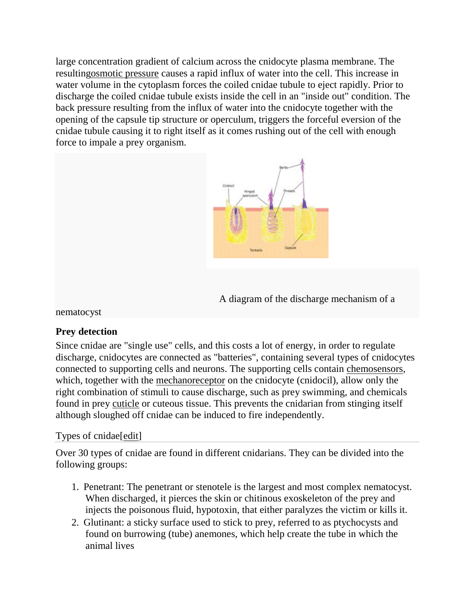large concentration gradient of calcium across the cnidocyte plasma membrane. The resultin[gosmotic pressure](https://en.wikipedia.org/wiki/Osmotic_pressure) causes a rapid influx of water into the cell. This increase in water volume in the cytoplasm forces the coiled cnidae tubule to eject rapidly. Prior to discharge the coiled cnidae tubule exists inside the cell in an "inside out" condition. The back pressure resulting from the influx of water into the cnidocyte together with the opening of the capsule tip structure or operculum, triggers the forceful eversion of the cnidae tubule causing it to right itself as it comes rushing out of the cell with enough force to impale a prey organism.



A diagram of the discharge mechanism of a

nematocyst

### **Prey detection**

Since cnidae are "single use" cells, and this costs a lot of energy, in order to regulate discharge, cnidocytes are connected as "batteries", containing several types of cnidocytes connected to supporting cells and neurons. The supporting cells contain [chemosensors,](https://en.wikipedia.org/wiki/Chemosensor) which, together with the [mechanoreceptor](https://en.wikipedia.org/wiki/Mechanoreceptor) on the cnidocyte (cnidocil), allow only the right combination of stimuli to cause discharge, such as prey swimming, and chemicals found in prey [cuticle](https://en.wikipedia.org/wiki/Cuticle) or cuteous tissue. This prevents the cnidarian from stinging itself although sloughed off cnidae can be induced to fire independently.

### Types of cnidae[\[edit\]](https://en.wikipedia.org/w/index.php?title=Cnidocyte&action=edit§ion=4)

Over 30 types of cnidae are found in different cnidarians. They can be divided into the following groups:

- 1. Penetrant: The penetrant or stenotele is the largest and most complex nematocyst. When discharged, it pierces the skin or chitinous exoskeleton of the prey and injects the poisonous fluid, hypotoxin, that either paralyzes the victim or kills it.
- 2. Glutinant: a sticky surface used to stick to prey, referred to as ptychocysts and found on burrowing (tube) anemones, which help create the tube in which the animal lives